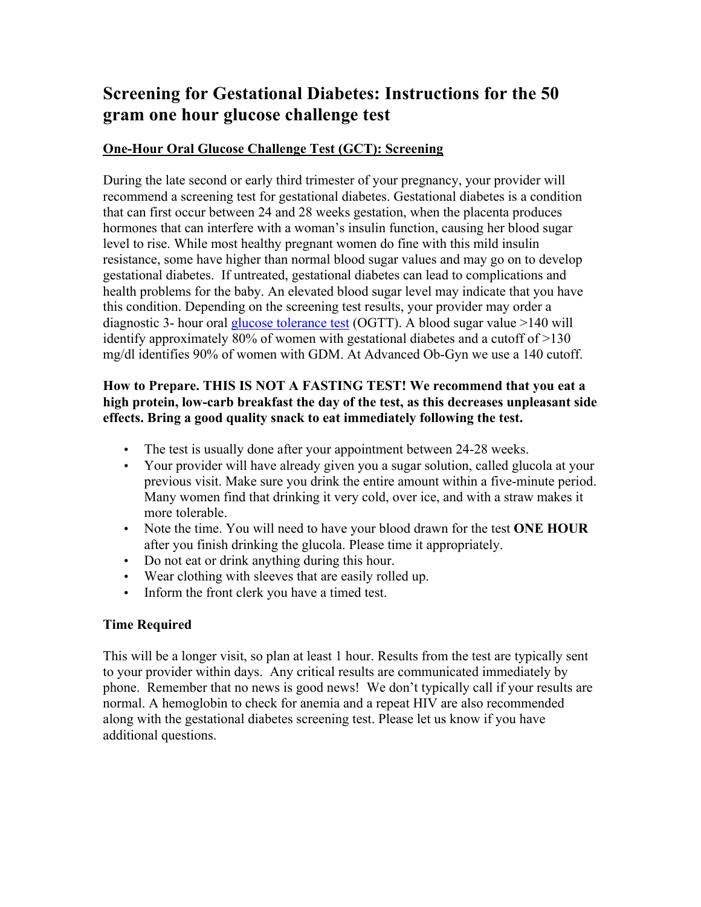# **Screening for Gestational Diabetes: Instructions for the 50 gram one hour glucose challenge test**

## **One-Hour Oral Glucose Challenge Test (GCT): Screening**

During the late second or early third trimester of your pregnancy, your provider will recommend a screening test for gestational diabetes. Gestational diabetes is a condition that can first occur between 24 and 28 weeks gestation, when the placenta produces hormones that can interfere with a woman's insulin function, causing her blood sugar level to rise. While most healthy pregnant women do fine with this mild insulin resistance, some have higher than normal blood sugar values and may go on to develop gestational diabetes. If untreated, gestational diabetes can lead to complications and health problems for the baby. An elevated blood sugar level may indicate that you have this condition. Depending on the screening test results, your provider may order a diagnostic 3- hour oral glucose tolerance test (OGTT). A blood sugar value >140 will identify approximately 80% of women with gestational diabetes and a cutoff of >130 mg/dl identifies 90% of women with GDM. At Advanced Ob-Gyn we use a 140 cutoff.

#### **How to Prepare. THIS IS NOT A FASTING TEST! We recommend that you eat a high protein, low-carb breakfast the day of the test, as this decreases unpleasant side effects. Bring a good quality snack to eat immediately following the test.**

- The test is usually done after your appointment between 24-28 weeks.
- Your provider will have already given you a sugar solution, called glucola at your previous visit. Make sure you drink the entire amount within a five-minute period. Many women find that drinking it very cold, over ice, and with a straw makes it more tolerable.
- Note the time. You will need to have your blood drawn for the test **ONE HOUR** after you finish drinking the glucola. Please time it appropriately.
- Do not eat or drink anything during this hour.
- Wear clothing with sleeves that are easily rolled up.
- Inform the front clerk you have a timed test.

#### **Time Required**

This will be a longer visit, so plan at least 1 hour. Results from the test are typically sent to your provider within days. Any critical results are communicated immediately by phone. Remember that no news is good news! We don't typically call if your results are normal. A hemoglobin to check for anemia and a repeat HIV are also recommended along with the gestational diabetes screening test. Please let us know if you have additional questions.